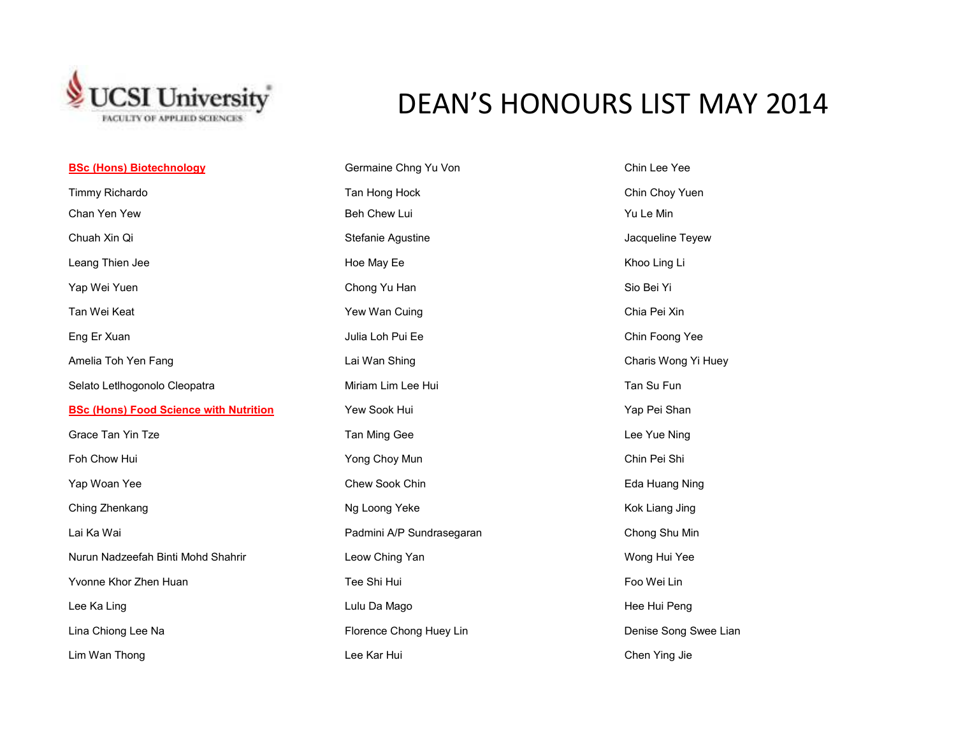

## DEAN'S HONOURS LIST MAY 2014

| <b>BSc (Hons) Biotechnology</b>               | Germaine Chng Yu Von      | Chin Lee Yee          |
|-----------------------------------------------|---------------------------|-----------------------|
| Timmy Richardo                                | Tan Hong Hock             | Chin Choy Yuen        |
| Chan Yen Yew                                  | Beh Chew Lui              | Yu Le Min             |
| Chuah Xin Qi                                  | Stefanie Agustine         | Jacqueline Teyew      |
| Leang Thien Jee                               | Hoe May Ee                | Khoo Ling Li          |
| Yap Wei Yuen                                  | Chong Yu Han              | Sio Bei Yi            |
| Tan Wei Keat                                  | Yew Wan Cuing             | Chia Pei Xin          |
| Eng Er Xuan                                   | Julia Loh Pui Ee          | Chin Foong Yee        |
| Amelia Toh Yen Fang                           | Lai Wan Shing             | Charis Wong Yi Huey   |
| Selato Letlhogonolo Cleopatra                 | Miriam Lim Lee Hui        | Tan Su Fun            |
| <b>BSc (Hons) Food Science with Nutrition</b> | Yew Sook Hui              | Yap Pei Shan          |
| Grace Tan Yin Tze                             | Tan Ming Gee              | Lee Yue Ning          |
| Foh Chow Hui                                  | Yong Choy Mun             | Chin Pei Shi          |
| Yap Woan Yee                                  | Chew Sook Chin            | Eda Huang Ning        |
| Ching Zhenkang                                | Ng Loong Yeke             | Kok Liang Jing        |
| Lai Ka Wai                                    | Padmini A/P Sundrasegaran | Chong Shu Min         |
| Nurun Nadzeefah Binti Mohd Shahrir            | Leow Ching Yan            | Wong Hui Yee          |
| Yvonne Khor Zhen Huan                         | Tee Shi Hui               | Foo Wei Lin           |
| Lee Ka Ling                                   | Lulu Da Mago              | Hee Hui Peng          |
| Lina Chiong Lee Na                            | Florence Chong Huey Lin   | Denise Song Swee Lian |
| Lim Wan Thong                                 | Lee Kar Hui               | Chen Ying Jie         |